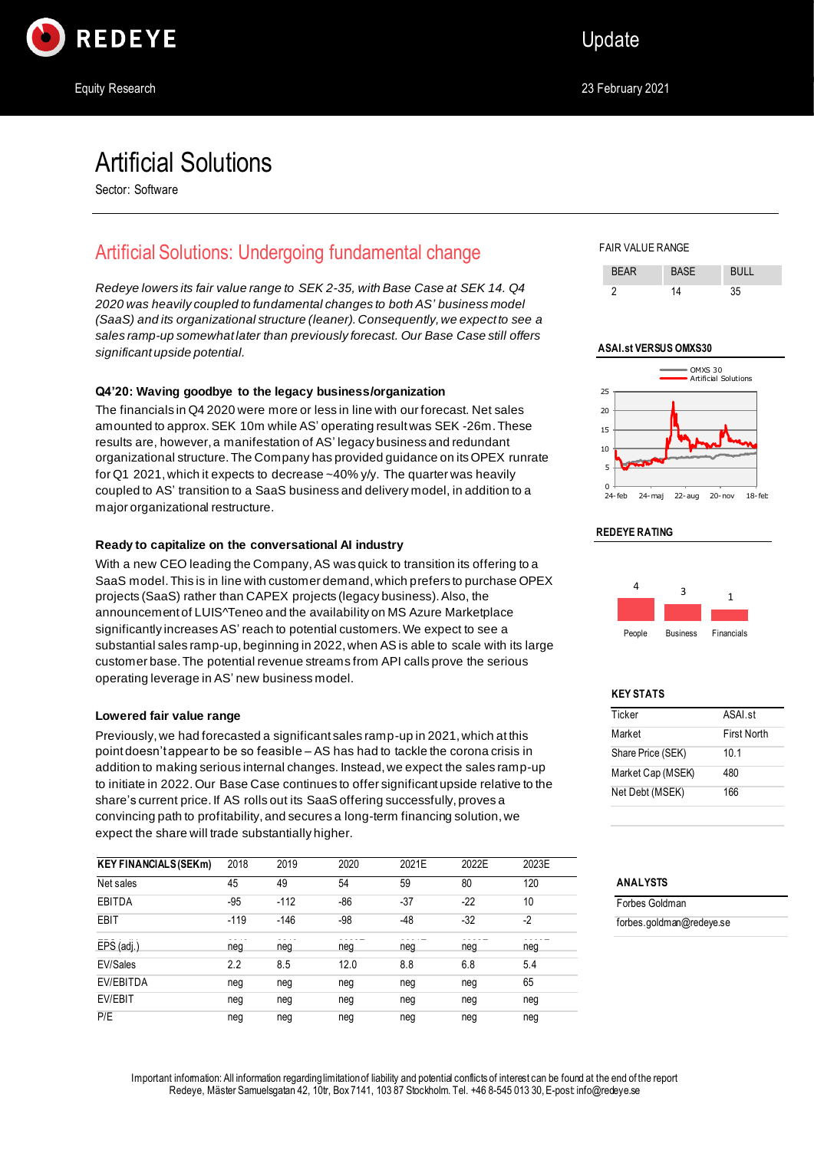

# Artificial Solutions

Sector: Software

# Artificial Solutions: Undergoing fundamental change

*Redeye lowers its fair value range to SEK 2-35, with Base Case at SEK 14. Q4 2020 was heavily coupled to fundamental changes to both AS' business model (SaaS) and its organizational structure (leaner). Consequently, we expect to see a sales ramp-up somewhat later than previously forecast. Our Base Case still offers significant upside potential.*

### **Q4'20: Waving goodbye to the legacy business/organization**

The financials in Q4 2020 were more or less in line with our forecast. Net sales amounted to approx.SEK 10m while AS' operating result was SEK -26m. These results are, however, a manifestation of AS' legacy business and redundant organizational structure. The Company has provided guidance on its OPEX runrate for Q1 2021, which it expects to decrease ~40% y/y. The quarter was heavily coupled to AS' transition to a SaaS business and delivery model, in addition to a major organizational restructure.

### **Ready to capitalize on the conversational AI industry**

With a new CEO leading the Company, AS was quick to transition its offering to a SaaS model. This is in line with customer demand, which prefers to purchase OPEX projects (SaaS) rather than CAPEX projects (legacy business). Also, the announcement of LUIS^Teneo and the availability on MS Azure Marketplace significantly increases AS' reach to potential customers. We expect to see a substantial sales ramp-up, beginning in 2022, when AS is able to scale with its large customer base. The potential revenue streams from API calls prove the serious operating leverage in AS' new business model.

### **Lowered fair value range**

Previously, we had forecasted a significant sales ramp-up in 2021, which at this point doesn't appear to be so feasible – AS has had to tackle the corona crisis in addition to making serious internal changes. Instead, we expect the sales ramp-up to initiate in 2022. Our Base Case continues to offer significant upside relative to the share's current price. If AS rolls out its SaaS offering successfully, proves a convincing path to profitability, and secures a long-term financing solution, we expect the share will trade substantially higher.

| <b>KEY FINANCIALS (SEKM)</b> | 2018   | 2019   | 2020 | 2021E | 2022E | 2023E |
|------------------------------|--------|--------|------|-------|-------|-------|
| Net sales                    | 45     | 49     | 54   | 59    | 80    | 120   |
| EBITDA                       | $-95$  | $-112$ | -86  | -37   | $-22$ | 10    |
| <b>EBIT</b>                  | $-119$ | $-146$ | -98  | -48   | $-32$ | $-2$  |
| $EPS$ (adj.)                 | neg    | neg    | neg  | neg   | neg   | neg   |
| EV/Sales                     | 2.2    | 8.5    | 12.0 | 8.8   | 6.8   | 5.4   |
| EV/EBITDA                    | neg    | neg    | neg  | neg   | neg   | 65    |
| EV/EBIT                      | neg    | neg    | neg  | neg   | neg   | neg   |
| P/E                          | neg    | neg    | neg  | neg   | neg   | neg   |

FAIR VALUE RANGE





#### **REDEYE RATING**



#### **KEY STATS**

| Ticker            | ASAL <sub>st</sub> |
|-------------------|--------------------|
| Market            | <b>First North</b> |
| Share Price (SEK) | 10.1               |
| Market Cap (MSEK) | 480                |
| Net Debt (MSEK)   | 166                |
|                   |                    |

### **ANALYSTS**

Forbes Goldman forbes.goldman@redeye.se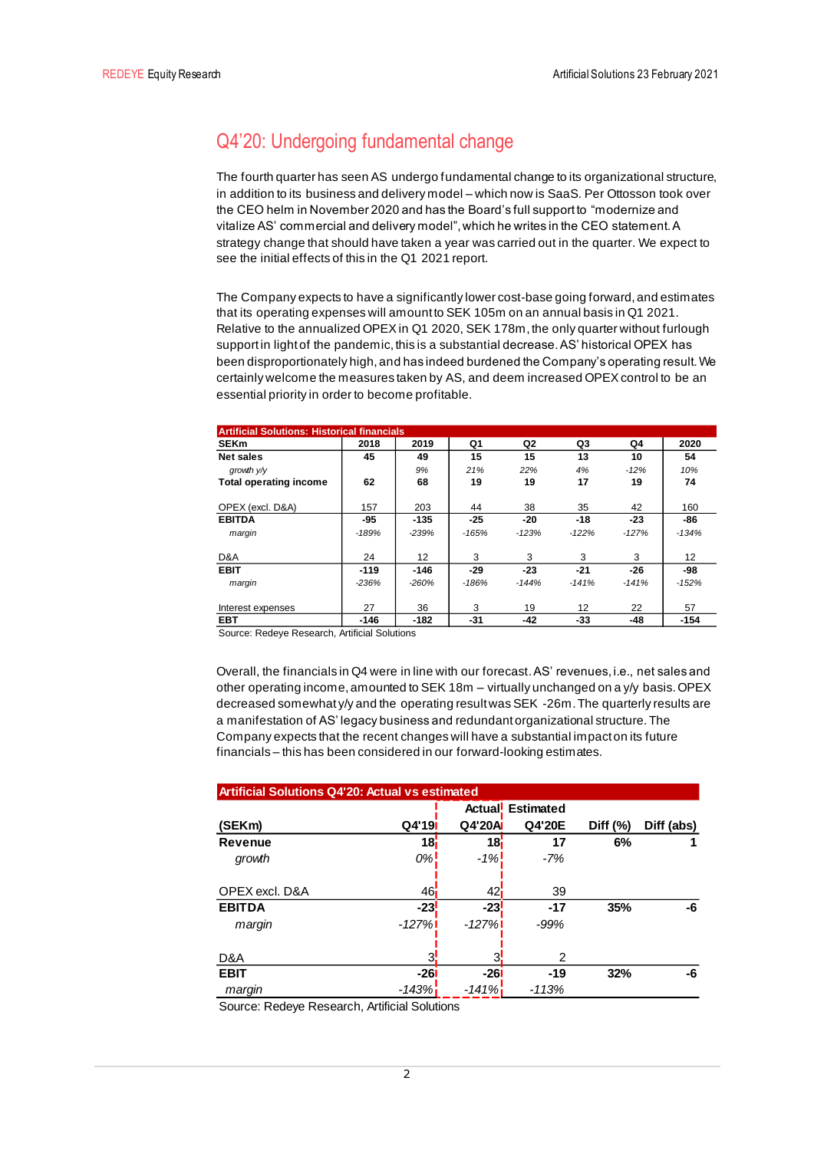# Q4'20: Undergoing fundamental change

The fourth quarter has seen AS undergo fundamental change to its organizational structure, in addition to its business and delivery model – which now is SaaS. Per Ottosson took over the CEO helm in November 2020 and has the Board's full support to "modernize and vitalize AS' commercial and delivery model", which he writes in the CEO statement. A strategy change that should have taken a year was carried out in the quarter. We expect to see the initial effects of this in the Q1 2021 report.

The Company expects to have a significantly lower cost-base going forward, and estimates that its operating expenses will amount to SEK 105m on an annual basis in Q1 2021. Relative to the annualized OPEX in Q1 2020, SEK 178m, the only quarter without furlough support in light of the pandemic, this is a substantial decrease. AS' historical OPEX has been disproportionately high, and has indeed burdened the Company's operating result. We certainly welcome the measures taken by AS, and deem increased OPEX control to be an essential priority in order to become profitable.

| <b>Artificial Solutions: Historical financials</b> |         |         |         |         |         |         |                   |
|----------------------------------------------------|---------|---------|---------|---------|---------|---------|-------------------|
| <b>SEKm</b>                                        | 2018    | 2019    | Q1      | Q2      | Q3      | Q4      | 2020              |
| <b>Net sales</b>                                   | 45      | 49      | 15      | 15      | 13      | 10      | 54                |
| growth V/V                                         |         | 9%      | 21%     | 22%     | 4%      | $-12%$  | 10%               |
| <b>Total operating income</b>                      | 62      | 68      | 19      | 19      | 17      | 19      | 74                |
| OPEX (excl. D&A)                                   | 157     | 203     | 44      | 38      | 35      | 42      | 160               |
| <b>EBITDA</b>                                      | $-95$   | $-135$  | $-25$   | $-20$   | $-18$   | $-23$   | -86               |
| margin                                             | $-189%$ | $-239%$ | $-165%$ | $-123%$ | $-122%$ | $-127%$ | $-134%$           |
| D&A                                                | 24      | 12      | 3       | 3       | 3       | 3       | $12 \overline{ }$ |
| <b>EBIT</b>                                        | $-119$  | $-146$  | $-29$   | $-23$   | $-21$   | $-26$   | -98               |
| margin                                             | $-236%$ | $-260%$ | $-186%$ | $-144%$ | $-141%$ | $-141%$ | $-152%$           |
| Interest expenses                                  | 27      | 36      | 3       | 19      | 12      | 22      | 57                |
| <b>EBT</b>                                         | $-146$  | $-182$  | -31     | $-42$   | -33     | -48     | $-154$            |

Source: Redeye Research, Artificial Solutions

Overall, the financials in Q4 were in line with our forecast. AS' revenues, i.e., net sales and other operating income, amounted to SEK 18m – virtually unchanged on a y/y basis. OPEX decreased somewhat y/y and the operating result was SEK -26m. The quarterly results are a manifestation of AS' legacy business and redundant organizational structure. The Company expects that the recent changes will have a substantial impact on its future financials – this has been considered in our forward-looking estimates.

| <b>Artificial Solutions Q4'20: Actual vs estimated</b> |                 |                 |                         |             |            |  |  |  |
|--------------------------------------------------------|-----------------|-----------------|-------------------------|-------------|------------|--|--|--|
|                                                        |                 |                 | <b>Actual</b> Estimated |             |            |  |  |  |
| (SEKm)                                                 | Q4'19           | Q4'20A          | Q4'20E                  | Diff $(\%)$ | Diff (abs) |  |  |  |
| <b>Revenue</b>                                         | 18i             | 18i             | 17                      | 6%          |            |  |  |  |
| growth                                                 | 0%!             | $-1\%$          | $-7%$                   |             |            |  |  |  |
| OPEX excl. D&A                                         | 46 <sub>i</sub> | 42 <sub>1</sub> | 39                      |             |            |  |  |  |
| <b>EBITDA</b>                                          | $-23$           | $-23$           | $-17$                   | 35%         | -6         |  |  |  |
| margin                                                 | $-127%$         | $-127%$         | $-99%$                  |             |            |  |  |  |
| D&A                                                    | 3               | ว               | 2                       |             |            |  |  |  |
| <b>EBIT</b>                                            | $-261$          | $-26$           | $-19$                   | 32%         | -6         |  |  |  |
| margin                                                 | -143%i          | $-141%$         | $-113%$                 |             |            |  |  |  |

Source: Redeye Research, Artificial Solutions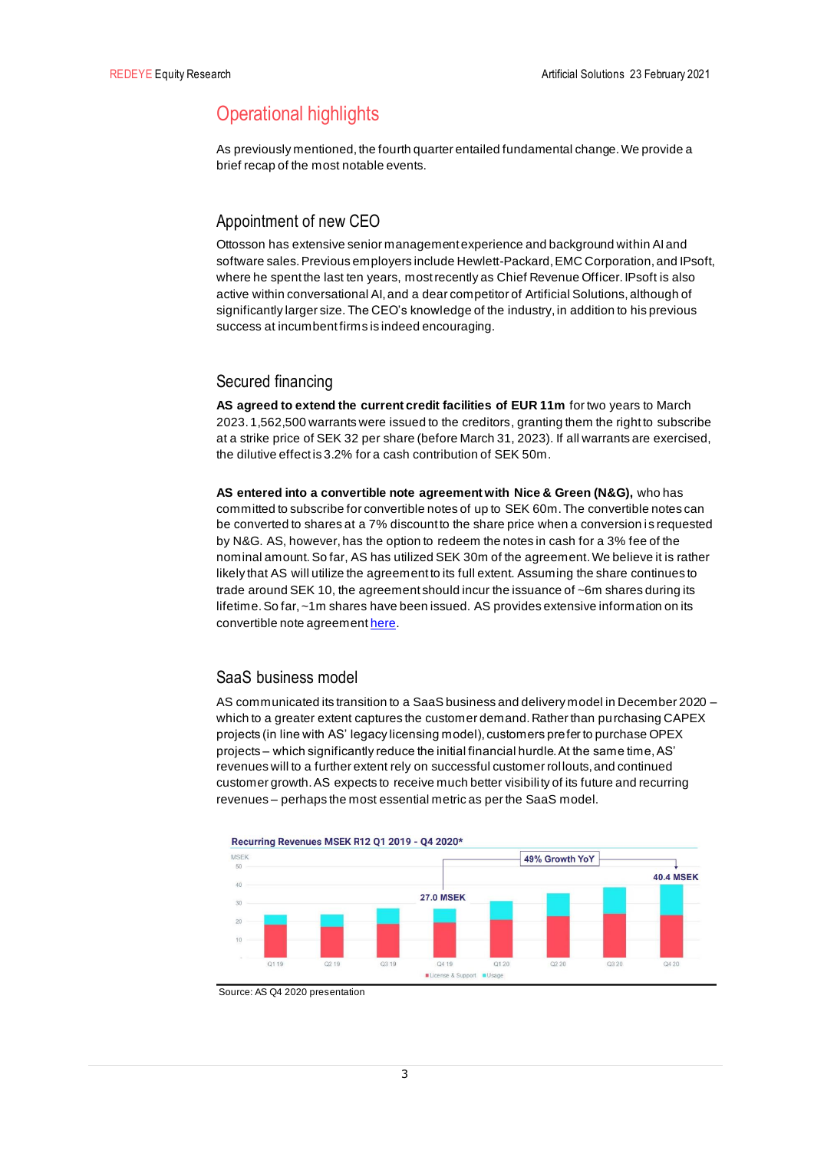# Operational highlights

As previously mentioned, the fourth quarter entailed fundamental change. We provide a brief recap of the most notable events.

## Appointment of new CEO

Ottosson has extensive senior management experience and background within AI and software sales. Previous employers include Hewlett-Packard, EMC Corporation, and IPsoft, where he spent the last ten years, most recently as Chief Revenue Officer. IPsoft is also active within conversational AI, and a dear competitor of Artificial Solutions, although of significantly larger size. The CEO's knowledge of the industry, in addition to his previous success at incumbent firms is indeed encouraging.

## Secured financing

**AS agreed to extend the current credit facilities of EUR 11m** for two years to March 2023. 1,562,500 warrants were issued to the creditors, granting them the right to subscribe at a strike price of SEK 32 per share (before March 31, 2023). If all warrants are exercised, the dilutive effect is 3.2% for a cash contribution of SEK 50m.

**AS entered into a convertible note agreement with Nice & Green (N&G),** who has committed to subscribe for convertible notes of up to SEK 60m. The convertible notes can be converted to shares at a 7% discount to the share price when a conversion is requested by N&G. AS, however, has the option to redeem the notes in cash for a 3% fee of the nominal amount. So far, AS has utilized SEK 30m of the agreement. We believe it is rather likely that AS will utilize the agreement to its full extent. Assuming the share continues to trade around SEK 10, the agreement should incur the issuance of ~6m shares during its lifetime. So far, ~1m shares have been issued. AS provides extensive information on its convertible note agreemen[t here.](https://www.investors.artificial-solutions.com/convertible-notes-financing-agreement)

## SaaS business model

AS communicated its transition to a SaaS business and delivery model in December 2020 which to a greater extent captures the customer demand. Rather than purchasing CAPEX projects (in line with AS' legacy licensing model), customers prefer to purchase OPEX projects – which significantly reduce the initial financial hurdle. At the same time, AS' revenues will to a further extent rely on successful customer rollouts, and continued customer growth. AS expects to receive much better visibility of its future and recurring revenues – perhaps the most essential metric as per the SaaS model.



Recurring Revenues MSEK R12 Q1 2019 - Q4 2020\*

Source: AS Q4 2020 presentation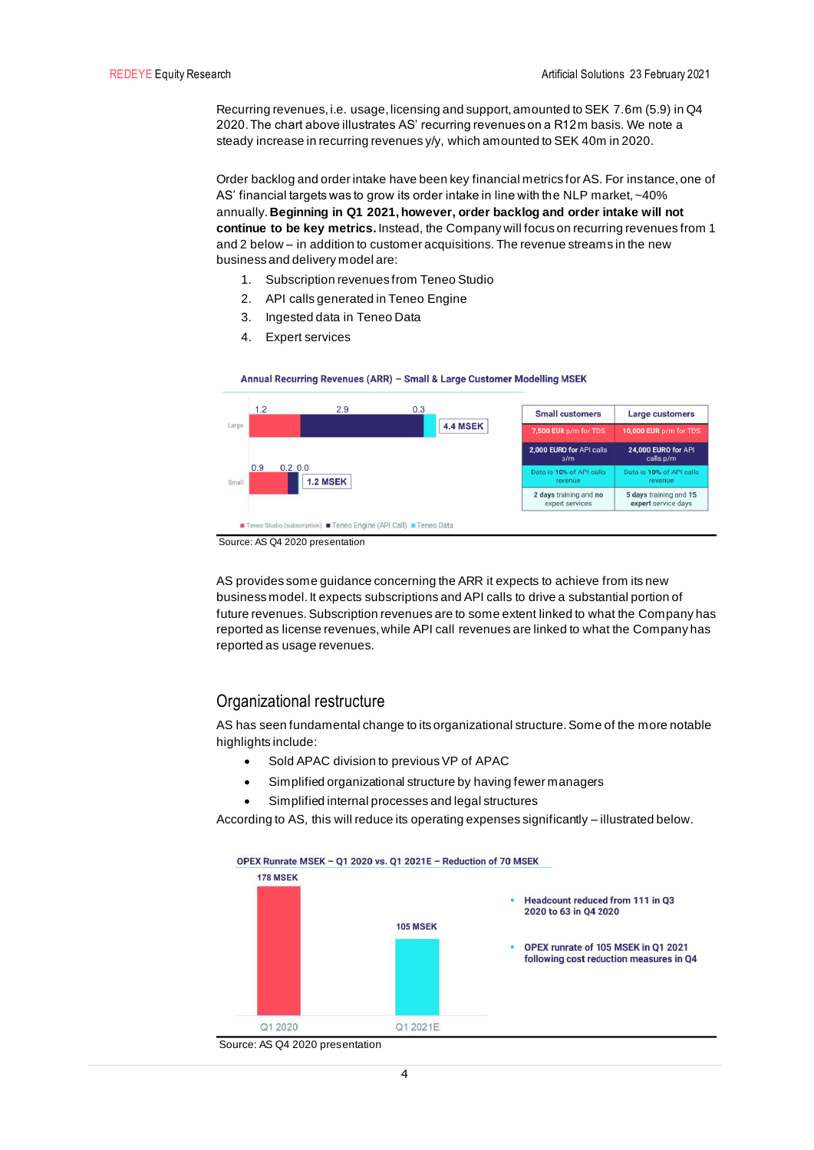Recurring revenues, i.e. usage, licensing and support, amounted to SEK 7.6m (5.9) in Q4 2020. The chart above illustrates AS' recurring revenues on a R12m basis. We note a steady increase in recurring revenues y/y, which amounted to SEK 40m in 2020.

Order backlog and order intake have been key financial metrics for AS. For instance, one of AS' financial targets was to grow its order intake in line with the NLP market, ~40% annually.**Beginning in Q1 2021, however, order backlog and order intake will not continue to be key metrics.** Instead, the Company will focus on recurring revenues from 1 and 2 below – in addition to customer acquisitions. The revenue streams in the new business and delivery model are:

- 1. Subscription revenues from Teneo Studio
- 2. API calls generated in Teneo Engine
- 3. Ingested data in Teneo Data
- 4. Expert services





Source: AS Q4 2020 presentation

AS provides some guidance concerning the ARR it expects to achieve from its new business model. It expects subscriptions and API calls to drive a substantial portion of future revenues. Subscription revenues are to some extent linked to what the Company has reported as license revenues, while API call revenues are linked to what the Company has reported as usage revenues.

## Organizational restructure

AS has seen fundamental change to its organizational structure. Some of the more notable highlights include:

- Sold APAC division to previous VP of APAC
- Simplified organizational structure by having fewer managers
- Simplified internal processes and legal structures

According to AS, this will reduce its operating expenses significantly – illustrated below.



Source: AS Q4 2020 presentation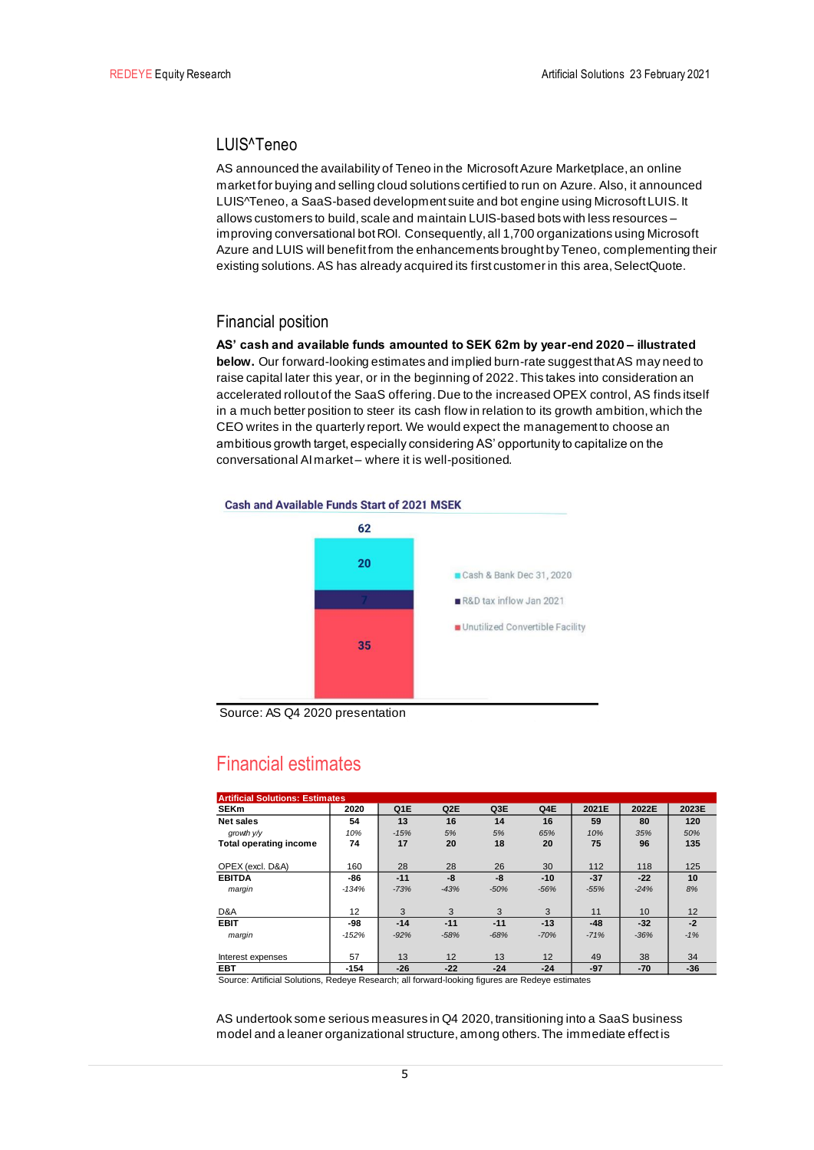## LUIS^Teneo

AS announced the availability of Teneo in the Microsoft Azure Marketplace, an online market for buying and selling cloud solutions certified to run on Azure. Also, it announced LUIS^Teneo, a SaaS-based development suite and bot engine using Microsoft LUIS. It allows customers to build, scale and maintain LUIS-based bots with less resources – improving conversational bot ROI. Consequently, all 1,700 organizations using Microsoft Azure and LUIS will benefit from the enhancements brought by Teneo, complementing their existing solutions.AS has already acquired its first customer in this area, SelectQuote.

## Financial position

**AS' cash and available funds amounted to SEK 62m by year-end 2020 – illustrated below.** Our forward-looking estimates and implied burn-rate suggest that AS may need to raise capital later this year, or in the beginning of 2022. This takes into consideration an accelerated rollout of the SaaS offering. Due to the increased OPEX control, AS finds itself in a much better position to steer its cash flow in relation to its growth ambition, which the CEO writes in the quarterly report. We would expect the management to choose an ambitious growth target, especially considering AS' opportunity to capitalize on the conversational AI market – where it is well-positioned.



Source: AS Q4 2020 presentation

# Financial estimates

| <b>Artificial Solutions: Estimates</b> |         |        |        |        |        |        |        |       |
|----------------------------------------|---------|--------|--------|--------|--------|--------|--------|-------|
| <b>SEKm</b>                            | 2020    | Q1E    | Q2E    | Q3E    | Q4E    | 2021E  | 2022E  | 2023E |
| Net sales                              | 54      | 13     | 16     | 14     | 16     | 59     | 80     | 120   |
| growth V/V                             | 10%     | $-15%$ | 5%     | 5%     | 65%    | 10%    | 35%    | 50%   |
| <b>Total operating income</b>          | 74      | 17     | 20     | 18     | 20     | 75     | 96     | 135   |
| OPEX (excl. D&A)                       | 160     | 28     | 28     | 26     | 30     | 112    | 118    | 125   |
| <b>EBITDA</b>                          | -86     | $-11$  | $-8$   | -8     | $-10$  | $-37$  | $-22$  | 10    |
| margin                                 | $-134%$ | $-73%$ | $-43%$ | $-50%$ | $-56%$ | $-55%$ | $-24%$ | 8%    |
| D&A                                    | 12      | 3      | 3      | 3      | 3      | 11     | 10     | 12    |
| <b>EBIT</b>                            | -98     | $-14$  | $-11$  | $-11$  | $-13$  | $-48$  | $-32$  | $-2$  |
| margin                                 | $-152%$ | $-92%$ | $-58%$ | $-68%$ | $-70%$ | $-71%$ | $-36%$ | $-1%$ |
| Interest expenses                      | 57      | 13     | 12     | 13     | 12     | 49     | 38     | 34    |
| <b>EBT</b>                             | $-154$  | $-26$  | $-22$  | $-24$  | $-24$  | $-97$  | $-70$  | $-36$ |

Source: Artificial Solutions, Redeye Research; all forward-looking figures are Redeye estimates

AS undertook some serious measures in Q4 2020, transitioning into a SaaS business model and a leaner organizational structure, among others. The immediate effect is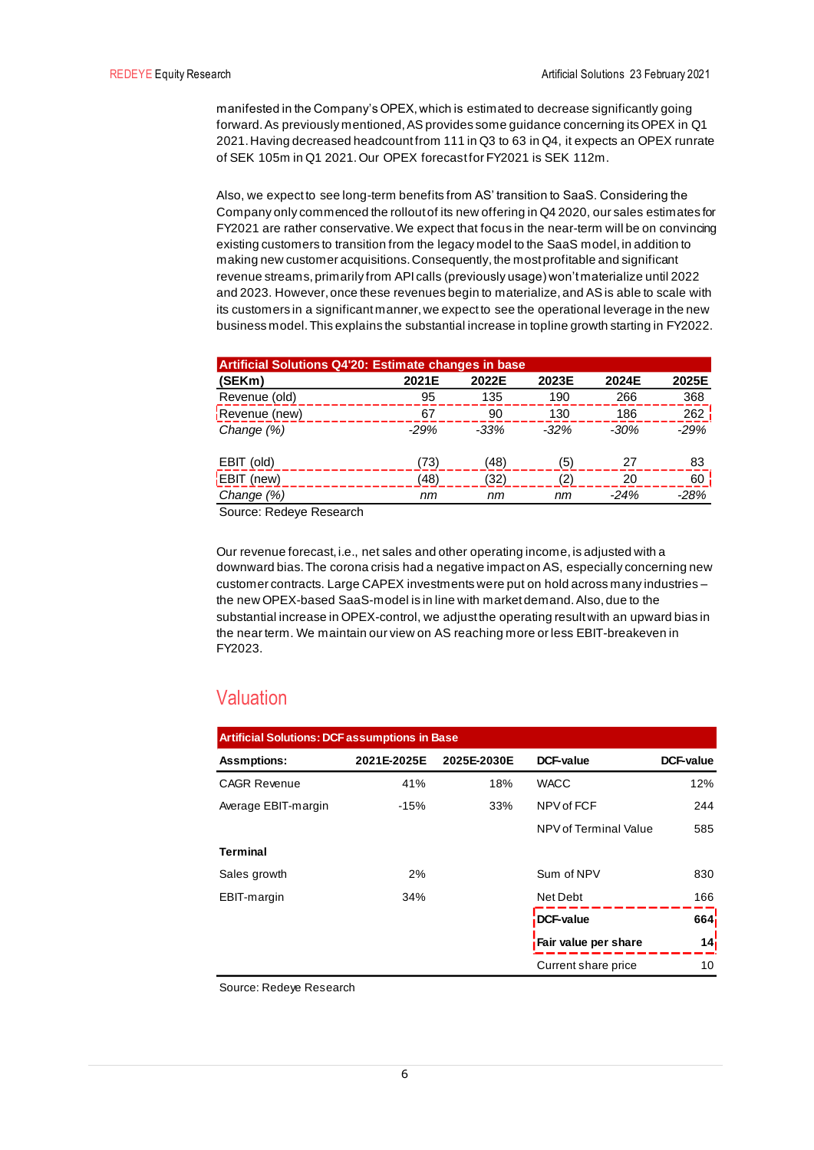manifested in the Company's OPEX, which is estimated to decrease significantly going forward. As previously mentioned, AS provides some guidance concerning its OPEX in Q1 2021. Having decreased headcount from 111 in Q3 to 63 in Q4, it expects an OPEX runrate of SEK 105m in Q1 2021. Our OPEX forecast for FY2021 is SEK 112m.

Also, we expect to see long-term benefits from AS' transition to SaaS. Considering the Company only commenced the rollout of its new offering in Q4 2020, our sales estimates for FY2021 are rather conservative. We expect that focus in the near-term will be on convincing existing customers to transition from the legacy model to the SaaS model, in addition to making new customer acquisitions. Consequently, the most profitable and significant revenue streams, primarily from API calls (previously usage) won't materialize until 2022 and 2023. However, once these revenues begin to materialize, and AS is able to scale with its customers in a significant manner, we expect to see the operational leverage in the new business model. This explains the substantial increase in topline growth starting in FY2022.

| <b>Artificial Solutions Q4'20: Estimate changes in base</b> |        |        |        |        |        |  |  |
|-------------------------------------------------------------|--------|--------|--------|--------|--------|--|--|
| (SEKm)                                                      | 2021E  | 2022E  | 2023E  | 2024E  | 2025E  |  |  |
| Revenue (old)                                               | 95     | 135    | 190    | 266    | 368    |  |  |
| Revenue (new)                                               | 67     | 90     | 130    | 186    | 262    |  |  |
| Change $(%)$                                                | $-29%$ | $-33%$ | $-32%$ | $-30%$ | $-29%$ |  |  |
| EBIT (old)                                                  | (73)   | (48)   | (5)    | 27     | 83     |  |  |
| $E$ BIT (new)                                               | (48)   | (32)   | '2)    | 20     | 60     |  |  |
| Change (%)                                                  | nm     | nm     | nm     | $-24%$ | $-28%$ |  |  |

Source: Redeye Research

Our revenue forecast, i.e., net sales and other operating income, is adjusted with a downward bias. The corona crisis had a negative impact on AS, especially concerning new customer contracts. Large CAPEX investments were put on hold across many industries – the new OPEX-based SaaS-model is in line with market demand. Also, due to the substantial increase in OPEX-control, we adjust the operating result with an upward bias in the near term. We maintain our view on AS reaching more or less EBIT-breakeven in FY2023.

# Valuation

| <b>Artificial Solutions: DCF assumptions in Base</b> |             |             |                             |                 |  |  |  |  |
|------------------------------------------------------|-------------|-------------|-----------------------------|-----------------|--|--|--|--|
| <b>Assmptions:</b>                                   | 2021E-2025E | 2025E-2030E | DCF-value                   | DCF-value       |  |  |  |  |
| <b>CAGR Revenue</b>                                  | 41%         | 18%         | <b>WACC</b>                 | 12%             |  |  |  |  |
| Average EBIT-margin                                  | $-15%$      | 33%         | NPV of FCF                  | 244             |  |  |  |  |
|                                                      |             |             | NPV of Terminal Value       | 585             |  |  |  |  |
| Terminal                                             |             |             |                             |                 |  |  |  |  |
| Sales growth                                         | 2%          |             | Sum of NPV                  | 830             |  |  |  |  |
| EBIT-margin                                          | 34%         |             | Net Debt                    | 166             |  |  |  |  |
|                                                      |             |             | <b>DCF-value</b>            | 664i            |  |  |  |  |
|                                                      |             |             | <b>Fair value per share</b> | 14 <sub>i</sub> |  |  |  |  |
|                                                      |             |             | Current share price         | 10              |  |  |  |  |

Source: Redeye Research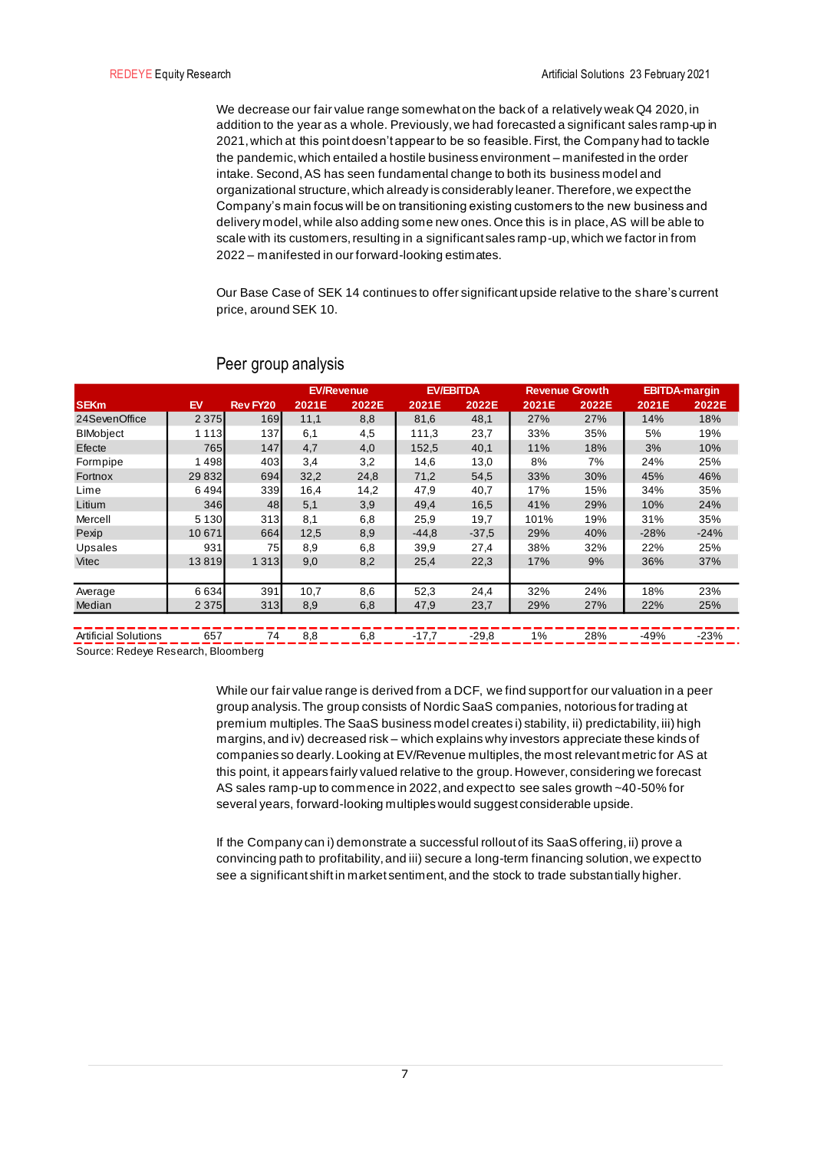We decrease our fair value range somewhat on the back of a relatively weak Q4 2020, in addition to the year as a whole. Previously, we had forecasted a significant sales ramp-up in 2021, which at this point doesn't appear to be so feasible. First, the Company had to tackle the pandemic, which entailed a hostile business environment – manifested in the order intake. Second, AS has seen fundamental change to both its business model and organizational structure, which already is considerably leaner. Therefore, we expect the Company's main focus will be on transitioning existing customers to the new business and delivery model, while also adding some new ones. Once this is in place, AS will be able to scale with its customers, resulting in a significant sales ramp-up, which we factor in from 2022 – manifested in our forward-looking estimates.

Our Base Case of SEK 14 continues to offer significant upside relative to the share's current price, around SEK 10.

|                                                                   |             |                             |               | <b>EV/Revenue</b> |         | <b>EV/EBITDA</b> | <b>Revenue Growth</b> |       |        | <b>EBITDA-margin</b> |
|-------------------------------------------------------------------|-------------|-----------------------------|---------------|-------------------|---------|------------------|-----------------------|-------|--------|----------------------|
| <b>SEKm</b>                                                       | EV          | <b>Rev FY20</b>             | 2021E         | 2022E             | 2021E   | 2022E            | 2021E                 | 2022E | 2021E  | 2022E                |
| 24SevenOffice                                                     | 2 3 7 5     | 169                         | 11,1          | 8,8               | 81,6    | 48,1             | 27%                   | 27%   | 14%    | 18%                  |
| <b>BIMobject</b>                                                  | 1 1 1 3     | 137                         | 6,1           | 4,5               | 111,3   | 23,7             | 33%                   | 35%   | 5%     | 19%                  |
| Efecte                                                            | 765         | 147                         | 4,7           | 4,0               | 152,5   | 40,1             | 11%                   | 18%   | 3%     | 10%                  |
| Formpipe                                                          | 498         | 403                         | 3,4           | 3,2               | 14,6    | 13,0             | 8%                    | 7%    | 24%    | 25%                  |
| Fortnox                                                           | 29 832      | 694                         | 32,2          | 24,8              | 71,2    | 54,5             | 33%                   | 30%   | 45%    | 46%                  |
| Lime                                                              | 6494        | 339                         | 16,4          | 14,2              | 47,9    | 40,7             | 17%                   | 15%   | 34%    | 35%                  |
| Litium                                                            | 346         | 48                          | 5,1           | 3,9               | 49,4    | 16,5             | 41%                   | 29%   | 10%    | 24%                  |
| Mercell                                                           | 5 1 3 0     | 313                         | 8,1           | 6,8               | 25,9    | 19,7             | 101%                  | 19%   | 31%    | 35%                  |
| Pexip                                                             | 10 671      | 664                         | 12,5          | 8,9               | $-44,8$ | $-37.5$          | 29%                   | 40%   | $-28%$ | $-24%$               |
| Upsales                                                           | 931         | 75                          | 8,9           | 6,8               | 39,9    | 27,4             | 38%                   | 32%   | 22%    | 25%                  |
| Vitec                                                             | 13819       | 1 3 1 3                     | 9,0           | 8,2               | 25,4    | 22,3             | 17%                   | 9%    | 36%    | 37%                  |
|                                                                   |             |                             |               |                   |         |                  |                       |       |        |                      |
| Average                                                           | 6634        | 391                         | 10,7          | 8,6               | 52,3    | 24,4             | 32%                   | 24%   | 18%    | 23%                  |
| Median                                                            | 2 3 7 5     | 313                         | 8,9           | 6,8               | 47,9    | 23,7             | 29%                   | 27%   | 22%    | 25%                  |
|                                                                   |             |                             |               |                   |         |                  |                       |       |        |                      |
| $A \cdot AB \cdot A \cdot AB \cdot AB \cdot AB \cdot AB \cdot AB$ | $\sim$ $ -$ | $\rightarrow$ $\rightarrow$ | $\sim$ $\sim$ | $\sim$ $\sim$     | $1 - 7$ | $\sim$ $\sim$    | $\sqrt{2}$            | 0.001 | 101    | 0.001                |

## Peer group analysis

Artificial Solutions \_\_\_\_ 657 \_\_\_\_\_ 74 \_\_ 8,8 \_\_\_ \_6,8 \_\_ \_\_-17,7 \_\_ \_-29,8 \_\_\_ 1% \_\_ \_\_28% \_\_ \_-49% \_\_ \_-23% . Source: Redeye Research, Bloomberg

> While our fair value range is derived from a DCF, we find support for our valuation in a peer group analysis. The group consists of Nordic SaaS companies, notorious for trading at premium multiples. The SaaS business model creates i) stability, ii) predictability, iii) high margins, and iv) decreased risk – which explains why investors appreciate these kinds of companies so dearly. Looking at EV/Revenue multiples, the most relevant metric for AS at this point, it appears fairly valued relative to the group. However, considering we forecast AS sales ramp-up to commence in 2022, and expect to see sales growth ~40-50% for several years, forward-looking multiples would suggest considerable upside.

If the Company can i) demonstrate a successful rollout of its SaaS offering, ii) prove a convincing path to profitability, and iii) secure a long-term financing solution, we expect to see a significant shift in market sentiment, and the stock to trade substantially higher.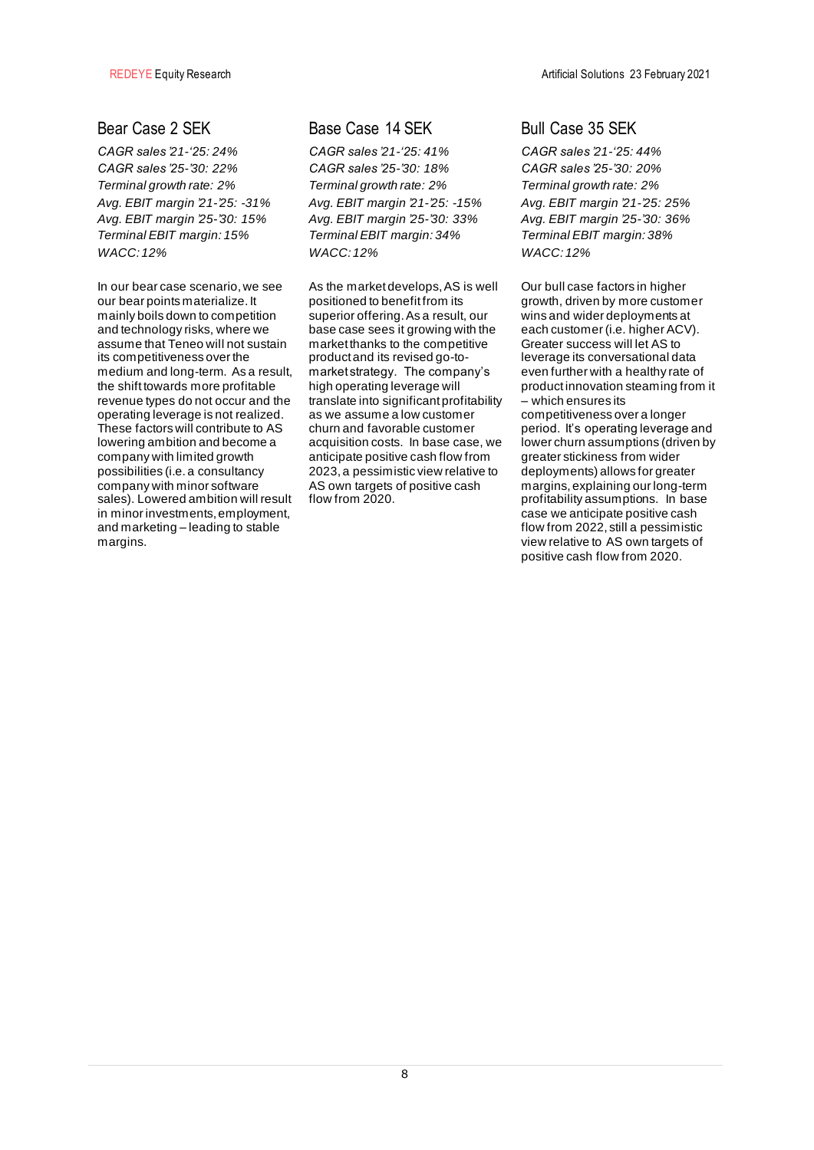*CAGR sales '21-'25: 24% CAGR sales '25-'30: 22% Terminal growth rate: 2% Avg. EBIT margin '21-'25: -31% Avg. EBIT margin '25-'30: 15% Terminal EBIT margin: 15% WACC: 12%* 

In our bear case scenario, we see our bear points materialize. It mainly boils down to competition and technology risks, where we assume that Teneo will not sustain its competitiveness over the medium and long-term. As a result, the shift towards more profitable revenue types do not occur and the operating leverage is not realized. These factors will contribute to AS lowering ambition and become a company with limited growth possibilities (i.e. a consultancy company with minor software sales). Lowered ambition will result in minor investments, employment, and marketing – leading to stable margins.

## Bear Case 2 SEK Base Case 14 SEK Bull Case 35 SEK

*CAGR sales '21-'25: 41% CAGR sales '25-'30: 18% Terminal growth rate: 2% Avg. EBIT margin '21-'25: -15% Avg. EBIT margin '25-'30: 33% Terminal EBIT margin: 34% WACC: 12%* 

As the market develops, AS is well positioned to benefit from its superior offering. As a result, our base case sees it growing with the market thanks to the competitive product and its revised go-tomarket strategy. The company's high operating leverage will translate into significant profitability as we assume a low customer churn and favorable customer acquisition costs. In base case, we anticipate positive cash flow from 2023, a pessimistic view relative to AS own targets of positive cash flow from 2020.

*CAGR sales '21-'25: 44% CAGR sales '25-'30: 20% Terminal growth rate: 2% Avg. EBIT margin '21-'25: 25% Avg. EBIT margin '25-'30: 36% Terminal EBIT margin: 38% WACC: 12%* 

Our bull case factors in higher growth, driven by more customer wins and wider deployments at each customer (i.e. higher ACV). Greater success will let AS to leverage its conversational data even further with a healthy rate of product innovation steaming from it .<br>– which ensures its competitiveness over a longer period. It's operating leverage and lower churn assumptions (driven by greater stickiness from wider deployments) allows for greater margins, explaining our long-term profitability assumptions. In base case we anticipate positive cash flow from 2022, still a pessimistic view relative to AS own targets of positive cash flow from 2020.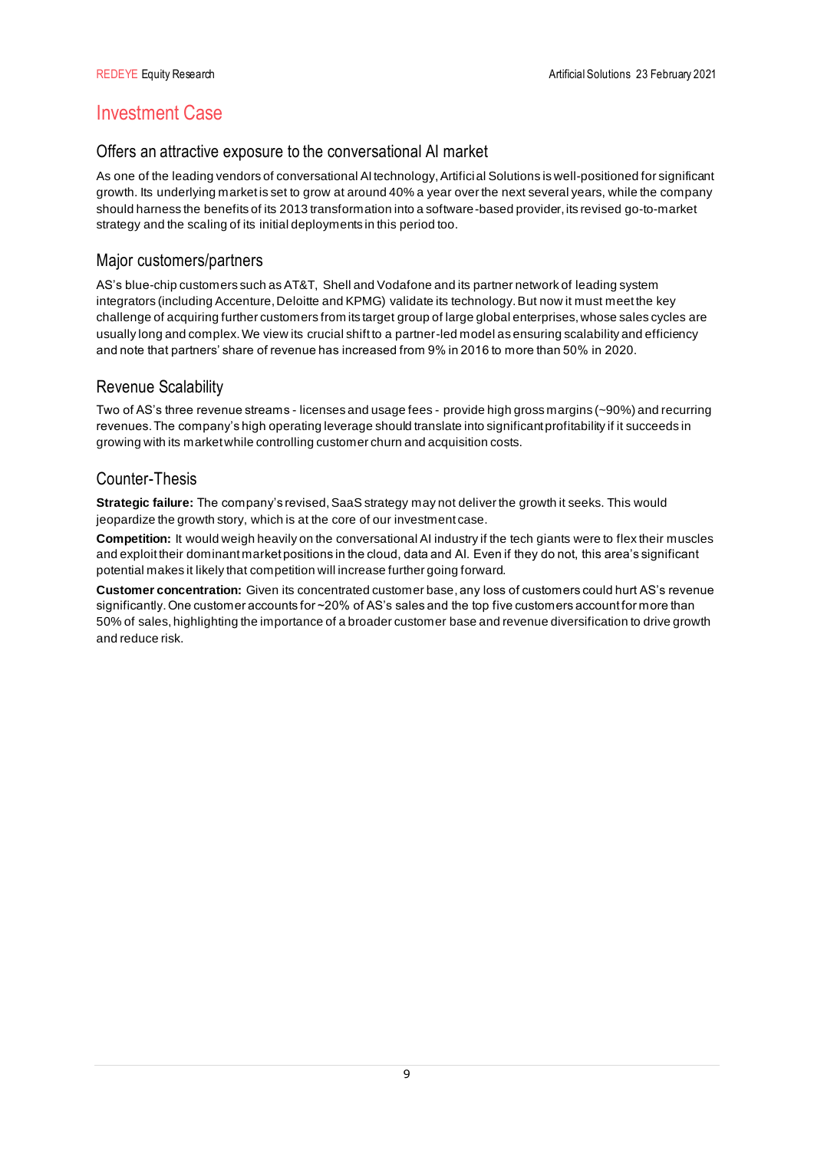# Investment Case

## Offers an attractive exposure to the conversational AI market

As one of the leading vendors of conversational AI technology, Artificial Solutions is well-positioned for significant growth. Its underlying market is set to grow at around 40% a year over the next several years, while the company should harness the benefits of its 2013 transformation into a software-based provider, its revised go-to-market strategy and the scaling of its initial deployments in this period too.

## Major customers/partners

AS's blue-chip customers such as AT&T, Shell and Vodafone and its partner network of leading system integrators (including Accenture, Deloitte and KPMG) validate its technology. But now it must meet the key challenge of acquiring further customers from its target group of large global enterprises, whose sales cycles are usually long and complex. We view its crucial shift to a partner-led model as ensuring scalability and efficiency and note that partners' share of revenue has increased from 9% in 2016 to more than 50% in 2020.

## Revenue Scalability

Two of AS's three revenue streams - licenses and usage fees - provide high gross margins (~90%) and recurring revenues. The company's high operating leverage should translate into significant profitability if it succeeds in growing with its market while controlling customer churn and acquisition costs.

## Counter-Thesis

**Strategic failure:** The company's revised, SaaS strategy may not deliver the growth it seeks. This would jeopardize the growth story, which is at the core of our investment case.

**Competition:** It would weigh heavily on the conversational AI industry if the tech giants were to flex their muscles and exploit their dominant market positions in the cloud, data and AI. Even if they do not, this area's significant potential makes it likely that competition will increase further going forward.

**Customer concentration:** Given its concentrated customer base, any loss of customers could hurt AS's revenue significantly. One customer accounts for ~20% of AS's sales and the top five customers account for more than 50% of sales, highlighting the importance of a broader customer base and revenue diversification to drive growth and reduce risk.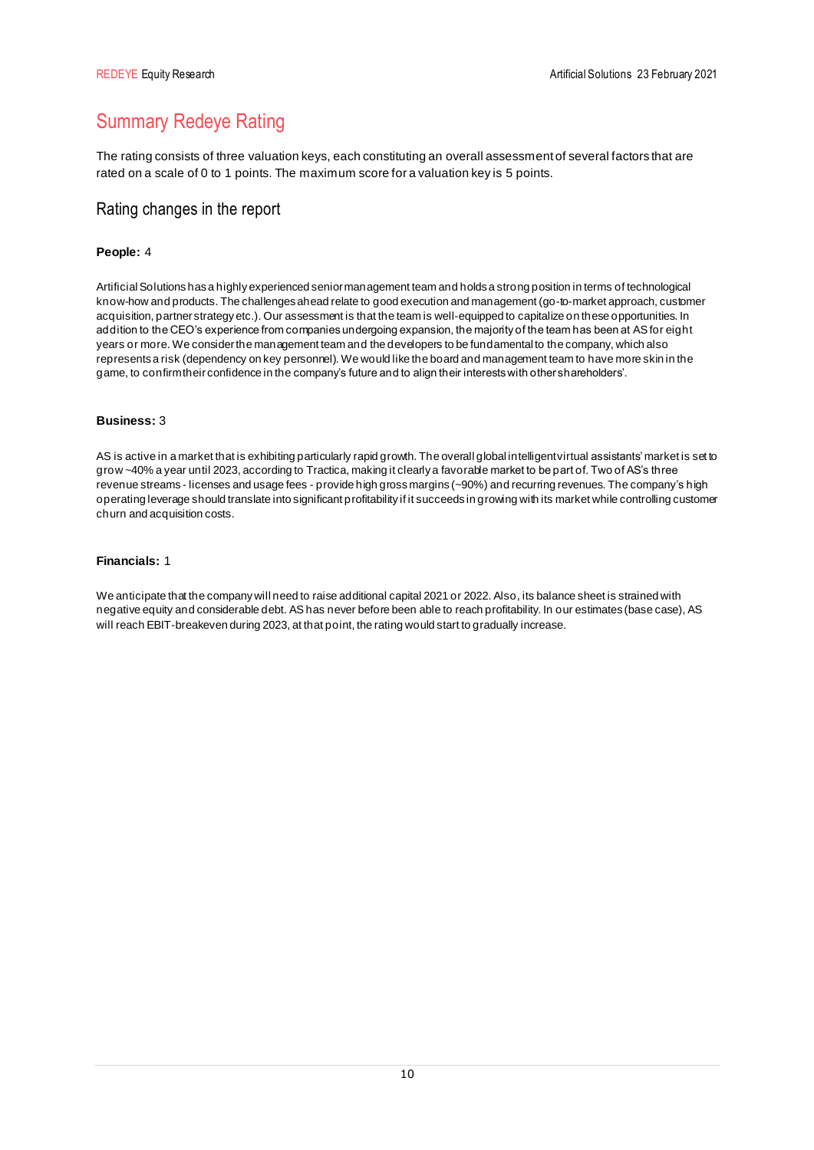# Summary Redeye Rating

The rating consists of three valuation keys, each constituting an overall assessment of several factors that are rated on a scale of 0 to 1 points. The maximum score for a valuation key is 5 points.

## Rating changes in the report

## **People:** 4

Artificial Solutions has a highly experienced senior management team and holds a strong position in terms of technological know-how and products. The challenges ahead relate to good execution and management (go-to-market approach, customer acquisition, partner strategy etc.). Our assessment is that the team is well-equipped to capitalize on these opportunities. In addition to the CEO's experience from companies undergoing expansion, the majority of the team has been at AS for eight years or more. We consider the management team and the developers to be fundamental to the company, which also represents a risk (dependency on key personnel). We would like the board and management team to have more skin in the game, to confirm their confidence in the company's future and to align their interests with other shareholders'.

### **Business:** 3

AS is active in a market that is exhibiting particularly rapid growth. The overall global intelligent virtual assistants' market is set to grow ~40% a year until 2023, according to Tractica, making it clearly a favorable market to be part of. Two of AS's three revenue streams - licenses and usage fees - provide high gross margins (~90%) and recurring revenues. The company's high operating leverage should translate into significant profitability if it succeeds in growing with its market while controlling customer churn and acquisition costs.

## **Financials:** 1

We anticipate that the company will need to raise additional capital 2021 or 2022. Also, its balance sheet is strained with negative equity and considerable debt. AS has never before been able to reach profitability. In our estimates (base case), AS will reach EBIT-breakeven during 2023, at that point, the rating would start to gradually increase.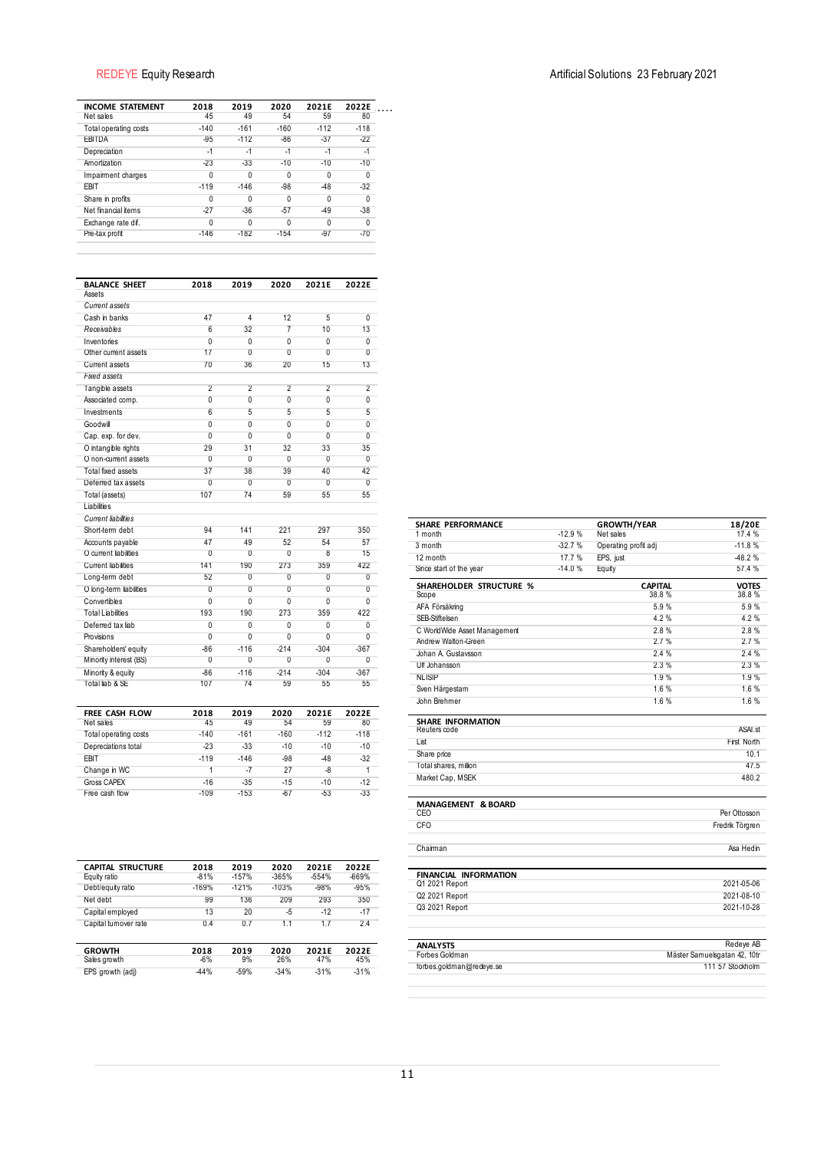| <b>INCOME STATEMENT</b>                             | 2018                             | 2019                  | 2020                 | 2021E          | 2022E               |  |
|-----------------------------------------------------|----------------------------------|-----------------------|----------------------|----------------|---------------------|--|
| Net sales<br>Total operating costs                  | 45<br>$-140$                     | 49<br>$-161$          | 54<br>$-160$         | 59<br>$-112$   | 80<br>$-118$        |  |
| <b>EBITDA</b>                                       | $-95$                            | $-112$                | $-86$                | $-37$          | $-22$               |  |
| Depreciation                                        | $-1$                             | $-1$                  | $-1$                 | $-1$           | $-1$                |  |
| Amortization                                        | $-23$                            | $-33$                 | $-10$                | $-10$          | $-10$               |  |
| Impairment charges                                  | 0                                | 0                     | 0                    | 0              | 0                   |  |
| EBIT                                                | $-119$                           | $-146$                | $-98$                | $-48$          | $-32$               |  |
| Share in profits                                    | 0                                | $\overline{0}$        | 0                    | $\overline{0}$ | 0                   |  |
| Net financial items<br>Exchange rate dif.           | $-27$<br>0                       | $-36$<br>0            | $-57$<br>0           | $-49$<br>0     | $-38$<br>0          |  |
| Pre-tax profit                                      | $-146$                           | $-182$                | $-154$               | $-97$          | $-70$               |  |
|                                                     |                                  |                       |                      |                |                     |  |
| <b>BALANCE SHEET</b>                                | 2018                             | 2019                  | 2020                 | 2021E          | 2022E               |  |
| Assets                                              |                                  |                       |                      |                |                     |  |
| Current assets<br>Cash in banks                     | 47                               | 4                     | 12                   | 5              | 0                   |  |
| Receivables                                         | $6\overline{6}$                  | 32                    | $\overline{7}$       | 10             | 13                  |  |
| Inventories                                         | $\overline{0}$                   | $\overline{0}$        | $\overline{0}$       | $\overline{0}$ | 0                   |  |
| Other current assets                                | 17                               | 0                     | $\overline{0}$       | $\overline{0}$ | 0                   |  |
| Current assets                                      | 70                               | 36                    | 20                   | 15             | 13                  |  |
| <b>Fixed assets</b>                                 |                                  |                       |                      |                |                     |  |
| Tangible assets                                     | $\overline{2}$                   | $\overline{2}$        | $\overline{2}$       | $\overline{2}$ | $\overline{2}$      |  |
| Associated comp.                                    | 0                                | $\overline{0}$        | $\overline{0}$       | $\overline{0}$ | 0                   |  |
| Investments                                         | 6                                | 5                     | 5                    | 5              | 5                   |  |
| Goodwill<br>Cap. exp. for dev.                      | $\overline{0}$<br>$\overline{0}$ | $\overline{0}$<br>0   | 0<br>$\overline{0}$  | 0<br>0         | 0<br>$\overline{0}$ |  |
| O intangible rights                                 | 29                               | 31                    | 32                   | 33             | 35                  |  |
| O non-current assets                                | $\overline{0}$                   | $\overline{0}$        | $\overline{0}$       | $\overline{0}$ | 0                   |  |
| <b>Total fixed assets</b>                           | 37                               | 38                    | 39                   | 40             | 42                  |  |
| Deferred tax assets                                 | $\overline{0}$                   | $\overline{0}$        | $\overline{0}$       | $\overline{0}$ | 0                   |  |
| Total (assets)                                      | 107                              | 74                    | 59                   | 55             | 55                  |  |
| Liabilities                                         |                                  |                       |                      |                |                     |  |
| <b>Current liabilities</b>                          |                                  |                       |                      |                |                     |  |
| Short-term debt                                     | 94                               | 141                   | 221                  | 297            | 350                 |  |
| Accounts payable                                    | 47<br>$\overline{0}$             | 49                    | 52<br>$\overline{0}$ | 54<br>8        | 57<br>15            |  |
| O current liabilities<br><b>Current liabilities</b> | 141                              | $\overline{0}$<br>190 | 273                  | 359            | 422                 |  |
| Long-term debt                                      | 52                               | $\overline{0}$        | $\overline{0}$       | $\overline{0}$ | 0                   |  |
| O long-term liabilities                             | 0                                | $\overline{0}$        | $\overline{0}$       | $\overline{0}$ | 0                   |  |
| Convertibles                                        | 0                                | 0                     | 0                    | 0              | 0                   |  |
| <b>Total Liabilities</b>                            | 193                              | 190                   | 273                  | 359            | 422                 |  |
| Deferred tax liab                                   | 0                                | 0                     | 0                    | 0              | 0                   |  |
| Provisions                                          | $\overline{0}$                   | $\overline{0}$        | $\overline{0}$       | $\overline{0}$ | $\overline{0}$      |  |
| Shareholders' equity                                | $-86$                            | $-116$                | $-214$               | $-304$         | $-367$              |  |
| Minority interest (BS)                              | $\overline{0}$                   | $\overline{0}$        | $\overline{0}$       | 0<br>$-304$    | 0                   |  |
| Minority & equity<br>Total liab & SE                | $-86$<br>107                     | $-116$<br>74          | $-214$<br>59         | 55             | $-367$<br>55        |  |
|                                                     |                                  |                       |                      |                |                     |  |
| FREE CASH FLOW                                      | 2018                             | 2019                  | 2020                 | 2021E          | 2022E               |  |
| Net sales<br>Total operating costs                  | 45<br>$-140$                     | 49<br>$-161$          | 54<br>$-160$         | 59<br>$-112$   | 80<br>$-118$        |  |
| Depreciations total                                 | $-23$                            | $-33$                 | $-10$                | $-10$          | $-10$               |  |
| EBIT                                                | $-119$                           | $-146$                | $-98$                | $-48$          | $-32$               |  |
| Change in WC                                        | 1                                | $-7$                  | 27                   | -8             | 1                   |  |
| <b>Gross CAPEX</b>                                  | $-16$                            | $-35$                 | $-15$                | $-10$          | $-12$               |  |
| Free cash flow                                      | $-109$                           | $-153$                | $-67$                | $-53$          | $-33$               |  |
|                                                     |                                  |                       |                      |                |                     |  |
| CAPITAL STRUCTURE                                   | 2018                             | 2019                  | 2020                 | 2021E          | 2022E               |  |
| Equity ratio                                        | $-81%$                           | $-157%$               | $-365%$              | $-554%$        | -669%               |  |
| Debt/equity ratio                                   | $-169%$                          | $-121%$               | $-103%$              | $-98%$         | $-95%$              |  |
| Net debt                                            | 99<br>13                         | 136                   | 209                  | 293            | 350<br>$-17$        |  |
| Capital employed<br>Capital turnover rate           | 0.4                              | 20<br>0.7             | -5<br>1.1            | $-12$<br>1.7   | 2.4                 |  |
| <b>GROWTH</b>                                       | 2018                             | 2019                  | 2020                 | 2021E          | 2022E               |  |
| Sales growth                                        | -6%                              | 9%                    | 26%                  | 47%            | 45%                 |  |
| EPS growth (adj)                                    | $-44%$                           | $-59%$                | $-34%$               | $-31%$         | $-31%$              |  |

| <b>SHARE PERFORMANCE</b>                       |          | <b>GROWTH/YEAR</b>      | 18/20E                       |
|------------------------------------------------|----------|-------------------------|------------------------------|
| 1 month                                        | $-12.9%$ | Net sales               | 17.4 %                       |
| 3 month                                        | $-32.7%$ | Operating profit adj    | $-11.8%$                     |
| 12 month                                       | 17.7%    | EPS, just               | $-48.2%$                     |
| Since start of the year                        | $-14.0%$ | Equity                  | 57.4 %                       |
| SHAREHOLDER STRUCTURE %<br>Scope               |          | <b>CAPITAL</b><br>38.8% | <b>VOTES</b><br>38.8%        |
| AFA Försäkring                                 |          | 5.9%                    | 5.9%                         |
| SEB-Stiftelsen                                 |          | 4.2%                    | 4.2%                         |
| C WorldWide Asset Management                   |          | 2.8%                    | 2.8%                         |
| Andrew Walton-Green                            |          | 2.7%                    | 2.7%                         |
| Johan A. Gustavsson                            |          | 2.4%                    | 2.4%                         |
| Ulf Johansson                                  |          | 2.3%                    | 2.3%                         |
| <b>NLISIP</b>                                  |          | 1.9%                    | 1.9%                         |
| Sven Härgestam                                 |          | 1.6%                    | 1.6%                         |
| John Brehmer                                   |          | 1.6%                    | 1.6%                         |
| <b>SHARE INFORMATION</b><br>Reuters code       |          |                         | ASAL <sub>st</sub>           |
| List                                           |          |                         | First North                  |
| Share price                                    |          |                         | 10.1                         |
| Total shares, million                          |          |                         | 47.5                         |
| Market Cap, MSEK                               |          |                         | 480.2                        |
| <b>MANAGEMENT &amp; BOARD</b>                  |          |                         |                              |
| CEO                                            |          |                         | Per Ottosson                 |
| CFO                                            |          |                         | Fredrik Törgren              |
| Chairman                                       |          |                         | Ása Hedin                    |
| <b>FINANCIAL INFORMATION</b><br>Q1 2021 Report |          |                         | 2021-05-06                   |
| Q2 2021 Report                                 |          |                         | 2021-08-10                   |
| Q3 2021 Report                                 |          |                         | 2021-10-28                   |
|                                                |          |                         |                              |
| <b>ANALYSTS</b>                                |          |                         | Redeve AB                    |
| Forbes Goldman                                 |          |                         | Mäster Samuelsgatan 42, 10tr |
| forbes.goldman@redeye.se                       |          |                         | 111 57 Stockholm             |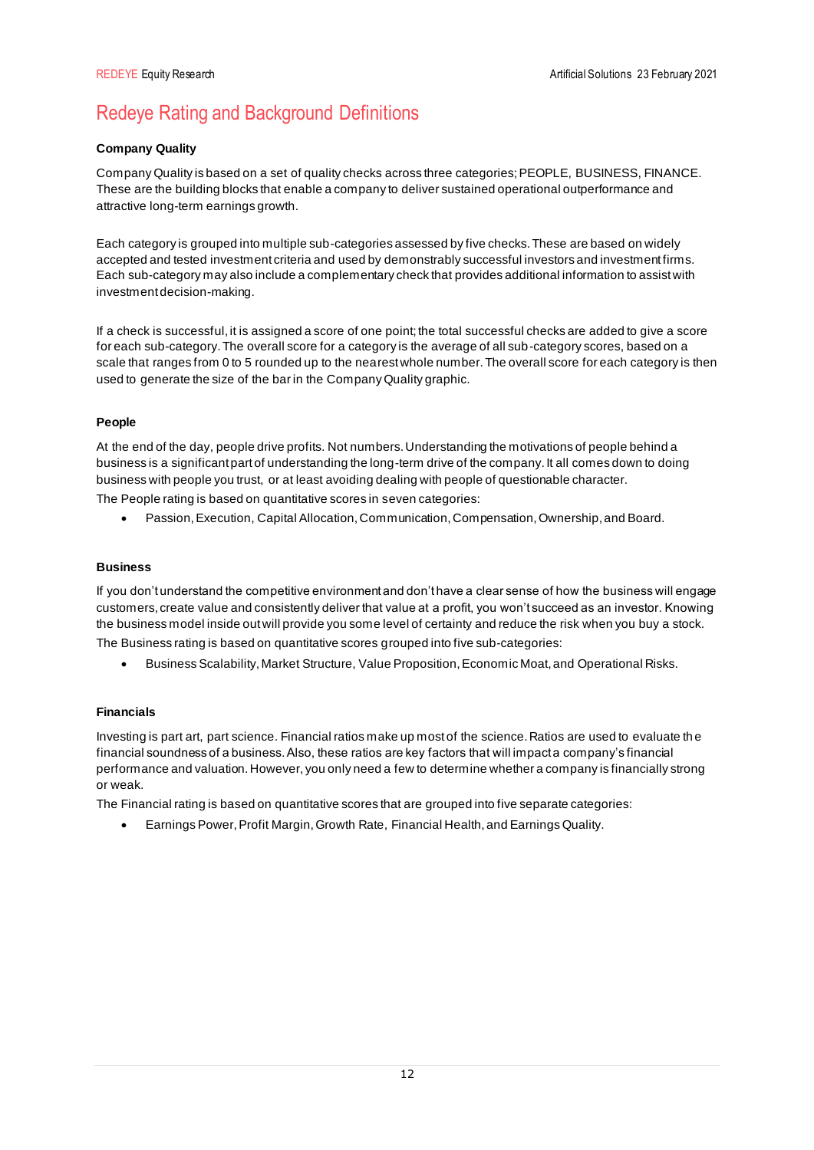# Redeye Rating and Background Definitions

## **Company Quality**

Company Quality is based on a set of quality checks across three categories; PEOPLE, BUSINESS, FINANCE. These are the building blocks that enable a company to deliver sustained operational outperformance and attractive long-term earnings growth.

Each category is grouped into multiple sub-categories assessed by five checks. These are based on widely accepted and tested investment criteria and used by demonstrably successful investors and investment firms. Each sub-category may also include a complementary check that provides additional information to assist with investment decision-making.

If a check is successful, it is assigned a score of one point; the total successful checks are added to give a score for each sub-category. The overall score for a category is the average of all sub-category scores, based on a scale that ranges from 0 to 5 rounded up to the nearest whole number. The overall score for each category is then used to generate the size of the bar in the Company Quality graphic.

## **People**

At the end of the day, people drive profits. Not numbers. Understanding the motivations of people behind a business is a significant part of understanding the long-term drive of the company. It all comes down to doing business with people you trust, or at least avoiding dealing with people of questionable character.

The People rating is based on quantitative scores in seven categories:

• Passion, Execution, Capital Allocation, Communication, Compensation, Ownership, and Board.

## **Business**

If you don't understand the competitive environment and don't have a clear sense of how the business will engage customers, create value and consistently deliver that value at a profit, you won't succeed as an investor. Knowing the business model inside out will provide you some level of certainty and reduce the risk when you buy a stock. The Business rating is based on quantitative scores grouped into five sub-categories:

• Business Scalability, Market Structure, Value Proposition, Economic Moat, and Operational Risks.

## **Financials**

Investing is part art, part science. Financial ratios make up most of the science. Ratios are used to evaluate th e financial soundness of a business. Also, these ratios are key factors that will impact a company's financial performance and valuation. However, you only need a few to determine whether a company is financially strong or weak.

The Financial rating is based on quantitative scores that are grouped into five separate categories:

• Earnings Power, Profit Margin, Growth Rate, Financial Health, and Earnings Quality.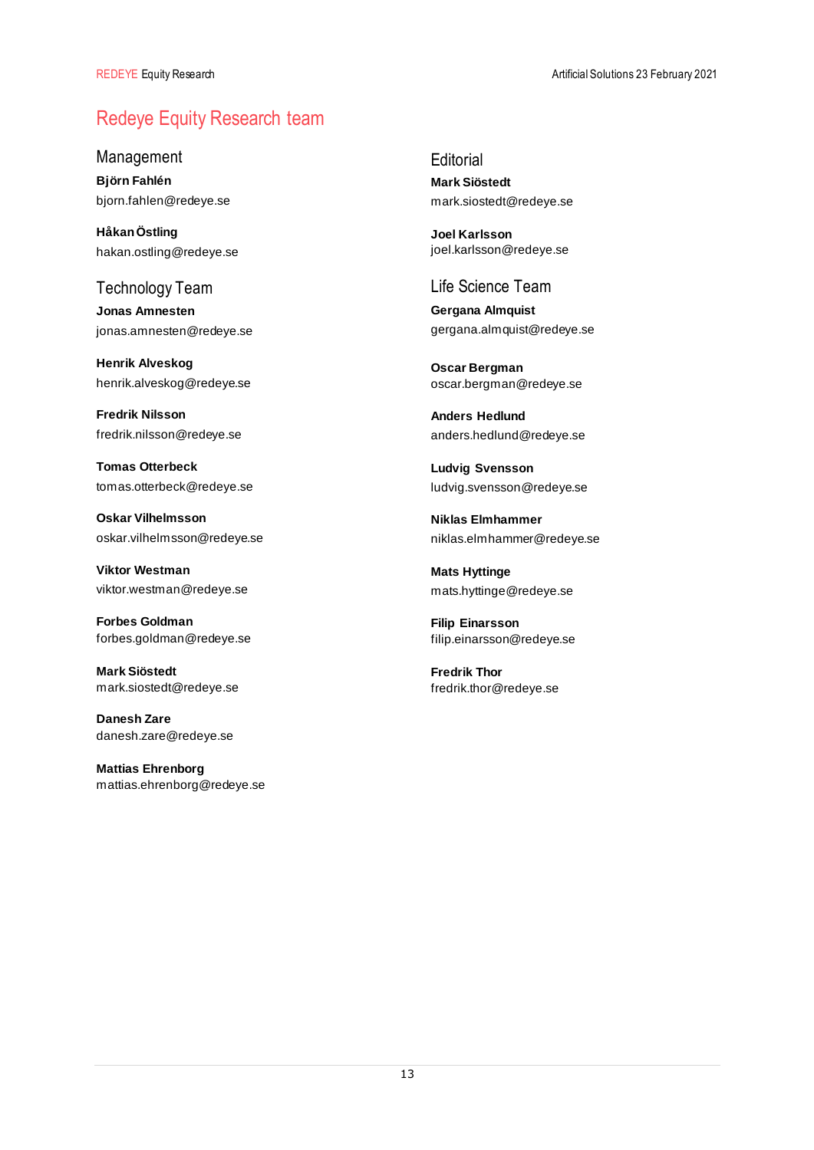# Redeye Equity Research team

Management

**Björn Fahlén** bjorn.fahlen@redeye.se

**Håkan Östling** hakan.ostling@redeye.se

Technology Team **Jonas Amnesten** jonas.amnesten@redeye.se

**Henrik Alveskog** henrik.alveskog@redeye.se

**Fredrik Nilsson** fredrik.nilsson@redeye.se

**Tomas Otterbeck** tomas.otterbeck@redeye.se

**Oskar Vilhelmsson** oskar.vilhelmsson@redeye.se

**Viktor Westman** viktor.westman@redeye.se

**Forbes Goldman** forbes.goldman@redeye.se

**Mark Siöstedt** mark.siostedt@redeye.se

**Danesh Zare** danesh.zare@redeye.se

**Mattias Ehrenborg** mattias.ehrenborg@redeye.se **Editorial Mark Siöstedt** mark.siostedt@redeye.se

**Joel Karlsson** joel.karlsson@redeye.se

Life Science Team

**Gergana Almquist** gergana.almquist@redeye.se

**Oscar Bergman** oscar.bergman@redeye.se

**Anders Hedlund** anders.hedlund@redeye.se

**Ludvig Svensson** ludvig.svensson@redeye.se

**Niklas Elmhammer** niklas.elmhammer@redeye.se

**Mats Hyttinge** mats.hyttinge@redeye.se

**Filip Einarsson** filip.einarsson@redeye.se

**Fredrik Thor** fredrik.thor@redeye.se